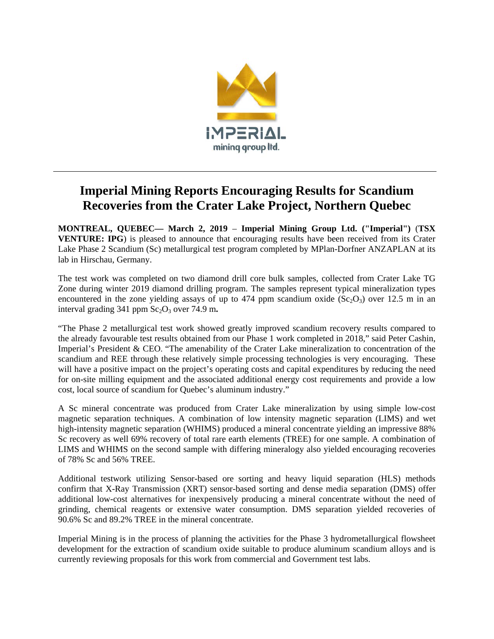

# **Imperial Mining Reports Encouraging Results for Scandium Recoveries from the Crater Lake Project, Northern Quebec**

**MONTREAL, QUEBEC— March 2, 2019** – **Imperial Mining Group Ltd. ("Imperial")** (**TSX VENTURE: IPG**) is pleased to announce that encouraging results have been received from its Crater Lake Phase 2 Scandium (Sc) metallurgical test program completed by MPlan-Dorfner ANZAPLAN at its lab in Hirschau, Germany.

The test work was completed on two diamond drill core bulk samples, collected from Crater Lake TG Zone during winter 2019 diamond drilling program. The samples represent typical mineralization types encountered in the zone yielding assays of up to 474 ppm scandium oxide  $(Sc<sub>2</sub>O<sub>3</sub>)$  over 12.5 m in an interval grading  $341$  ppm  $Sc_2O_3$  over  $74.9$  m.

"The Phase 2 metallurgical test work showed greatly improved scandium recovery results compared to the already favourable test results obtained from our Phase 1 work completed in 2018," said Peter Cashin, Imperial's President & CEO. "The amenability of the Crater Lake mineralization to concentration of the scandium and REE through these relatively simple processing technologies is very encouraging. These will have a positive impact on the project's operating costs and capital expenditures by reducing the need for on-site milling equipment and the associated additional energy cost requirements and provide a low cost, local source of scandium for Quebec's aluminum industry."

A Sc mineral concentrate was produced from Crater Lake mineralization by using simple low-cost magnetic separation techniques. A combination of low intensity magnetic separation (LIMS) and wet high-intensity magnetic separation (WHIMS) produced a mineral concentrate yielding an impressive 88% Sc recovery as well 69% recovery of total rare earth elements (TREE) for one sample. A combination of LIMS and WHIMS on the second sample with differing mineralogy also yielded encouraging recoveries of 78% Sc and 56% TREE.

Additional testwork utilizing Sensor-based ore sorting and heavy liquid separation (HLS) methods confirm that X-Ray Transmission (XRT) sensor-based sorting and dense media separation (DMS) offer additional low-cost alternatives for inexpensively producing a mineral concentrate without the need of grinding, chemical reagents or extensive water consumption. DMS separation yielded recoveries of 90.6% Sc and 89.2% TREE in the mineral concentrate.

Imperial Mining is in the process of planning the activities for the Phase 3 hydrometallurgical flowsheet development for the extraction of scandium oxide suitable to produce aluminum scandium alloys and is currently reviewing proposals for this work from commercial and Government test labs.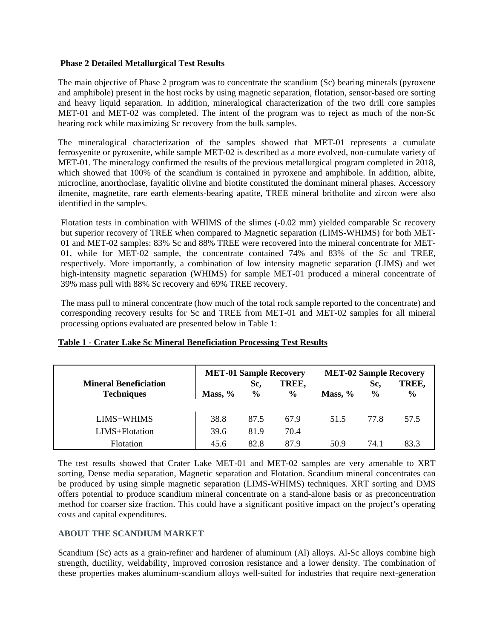### **Phase 2 Detailed Metallurgical Test Results**

The main objective of Phase 2 program was to concentrate the scandium (Sc) bearing minerals (pyroxene and amphibole) present in the host rocks by using magnetic separation, flotation, sensor-based ore sorting and heavy liquid separation. In addition, mineralogical characterization of the two drill core samples MET-01 and MET-02 was completed. The intent of the program was to reject as much of the non-Sc bearing rock while maximizing Sc recovery from the bulk samples.

The mineralogical characterization of the samples showed that MET-01 represents a cumulate ferrosyenite or pyroxenite, while sample MET-02 is described as a more evolved, non-cumulate variety of MET-01. The mineralogy confirmed the results of the previous metallurgical program completed in 2018, which showed that 100% of the scandium is contained in pyroxene and amphibole. In addition, albite, microcline, anorthoclase, fayalitic olivine and biotite constituted the dominant mineral phases. Accessory ilmenite, magnetite, rare earth elements-bearing apatite, TREE mineral britholite and zircon were also identified in the samples.

Flotation tests in combination with WHIMS of the slimes (-0.02 mm) yielded comparable Sc recovery but superior recovery of TREE when compared to Magnetic separation (LIMS-WHIMS) for both MET-01 and MET-02 samples: 83% Sc and 88% TREE were recovered into the mineral concentrate for MET-01, while for MET-02 sample, the concentrate contained 74% and 83% of the Sc and TREE, respectively. More importantly, a combination of low intensity magnetic separation (LIMS) and wet high-intensity magnetic separation (WHIMS) for sample MET-01 produced a mineral concentrate of 39% mass pull with 88% Sc recovery and 69% TREE recovery.

The mass pull to mineral concentrate (how much of the total rock sample reported to the concentrate) and corresponding recovery results for Sc and TREE from MET-01 and MET-02 samples for all mineral processing options evaluated are presented below in Table 1:

|                              | <b>MET-01 Sample Recovery</b> |               |               | <b>MET-02 Sample Recovery</b> |               |               |
|------------------------------|-------------------------------|---------------|---------------|-------------------------------|---------------|---------------|
| <b>Mineral Beneficiation</b> |                               | Sc,           | TREE,         |                               | Sc,           | TREE,         |
| <b>Techniques</b>            | Mass, %                       | $\frac{6}{6}$ | $\frac{6}{9}$ | Mass, $%$                     | $\frac{6}{6}$ | $\frac{6}{6}$ |
|                              |                               |               |               |                               |               |               |
| LIMS+WHIMS                   | 38.8                          | 87.5          | 67.9          | 51.5                          | 77.8          | 57.5          |
| LIMS+Flotation               | 39.6                          | 81.9          | 70.4          |                               |               |               |
| Flotation                    | 45.6                          | 82.8          | 87.9          | 50.9                          | 74.1          | 83.3          |

# **Table 1 - Crater Lake Sc Mineral Beneficiation Processing Test Results**

The test results showed that Crater Lake MET-01 and MET-02 samples are very amenable to XRT sorting, Dense media separation, Magnetic separation and Flotation. Scandium mineral concentrates can be produced by using simple magnetic separation (LIMS-WHIMS) techniques. XRT sorting and DMS offers potential to produce scandium mineral concentrate on a stand-alone basis or as preconcentration method for coarser size fraction. This could have a significant positive impact on the project's operating costs and capital expenditures.

# **ABOUT THE SCANDIUM MARKET**

Scandium (Sc) acts as a grain-refiner and hardener of aluminum (Al) alloys. Al-Sc alloys combine high strength, ductility, weldability, improved corrosion resistance and a lower density. The combination of these properties makes aluminum-scandium alloys well-suited for industries that require next-generation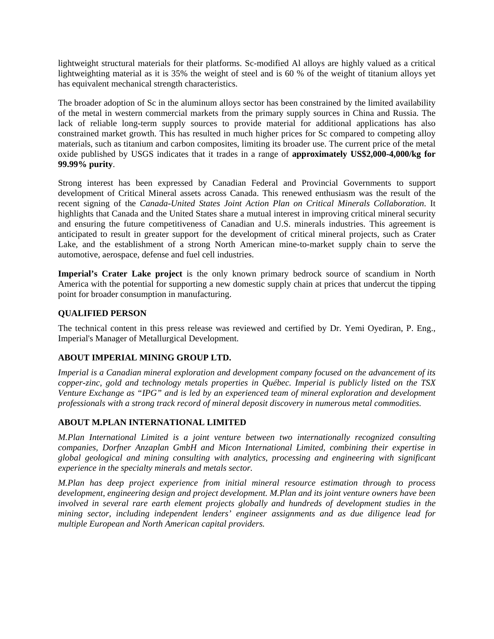lightweight structural materials for their platforms. Sc-modified Al alloys are highly valued as a critical lightweighting material as it is 35% the weight of steel and is 60 % of the weight of titanium alloys yet has equivalent mechanical strength characteristics.

The broader adoption of Sc in the aluminum alloys sector has been constrained by the limited availability of the metal in western commercial markets from the primary supply sources in China and Russia. The lack of reliable long-term supply sources to provide material for additional applications has also constrained market growth. This has resulted in much higher prices for Sc compared to competing alloy materials, such as titanium and carbon composites, limiting its broader use. The current price of the metal oxide published by USGS indicates that it trades in a range of **approximately US\$2,000-4,000/kg for 99.99% purity**.

Strong interest has been expressed by Canadian Federal and Provincial Governments to support development of Critical Mineral assets across Canada. This renewed enthusiasm was the result of the recent signing of the *Canada-United States Joint Action Plan on Critical Minerals Collaboration*. It highlights that Canada and the United States share a mutual interest in improving critical mineral security and ensuring the future competitiveness of Canadian and U.S. minerals industries. This agreement is anticipated to result in greater support for the development of critical mineral projects, such as Crater Lake, and the establishment of a strong North American mine-to-market supply chain to serve the automotive, aerospace, defense and fuel cell industries.

**Imperial's Crater Lake project** is the only known primary bedrock source of scandium in North America with the potential for supporting a new domestic supply chain at prices that undercut the tipping point for broader consumption in manufacturing.

# **QUALIFIED PERSON**

The technical content in this press release was reviewed and certified by Dr. Yemi Oyediran, P. Eng., Imperial's Manager of Metallurgical Development.

# **ABOUT IMPERIAL MINING GROUP LTD.**

*Imperial is a Canadian mineral exploration and development company focused on the advancement of its copper-zinc, gold and technology metals properties in Québec. Imperial is publicly listed on the TSX Venture Exchange as "IPG" and is led by an experienced team of mineral exploration and development professionals with a strong track record of mineral deposit discovery in numerous metal commodities.*

# **ABOUT M.PLAN INTERNATIONAL LIMITED**

*M.Plan International Limited is a joint venture between two internationally recognized consulting companies, Dorfner Anzaplan GmbH and Micon International Limited, combining their expertise in global geological and mining consulting with analytics, processing and engineering with significant experience in the specialty minerals and metals sector.* 

*M.Plan has deep project experience from initial mineral resource estimation through to process development, engineering design and project development. M.Plan and its joint venture owners have been involved in several rare earth element projects globally and hundreds of development studies in the mining sector, including independent lenders' engineer assignments and as due diligence lead for multiple European and North American capital providers.*